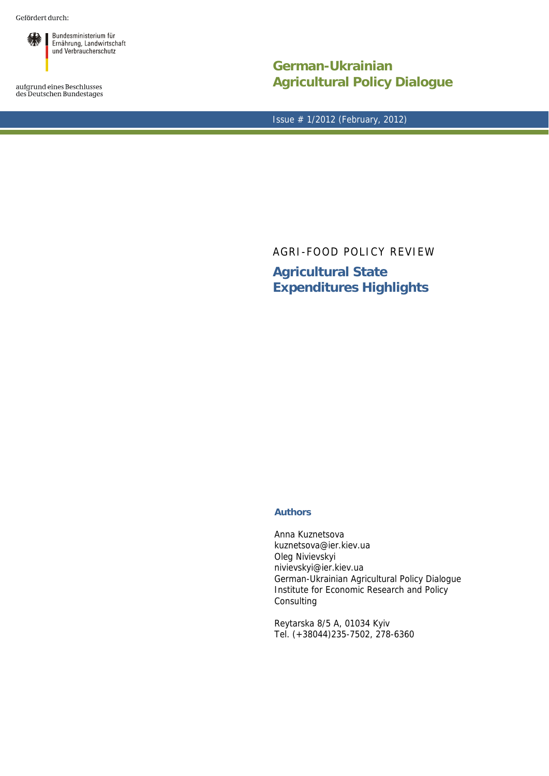Gefördert durch:



aufgrund eines Beschlusses<br>des Deutschen Bundestages

**German-Ukrainian Agricultural Policy Dialogue**

Issue # 1/2012 (February, 2012)

AGRI-FOOD POLICY REVIEW **Agricultural State Expenditures Highlights** 

## **Authors**

Anna Kuznetsova kuznetsova@ier.kiev.ua Oleg Nivievskyi nivievskyi@ier.kiev.ua German-Ukrainian Agricultural Policy Dialogue Institute for Economic Research and Policy Consulting

Reytarska 8/5 A, 01034 Kyiv Tel. (+38044)235-7502, 278-6360